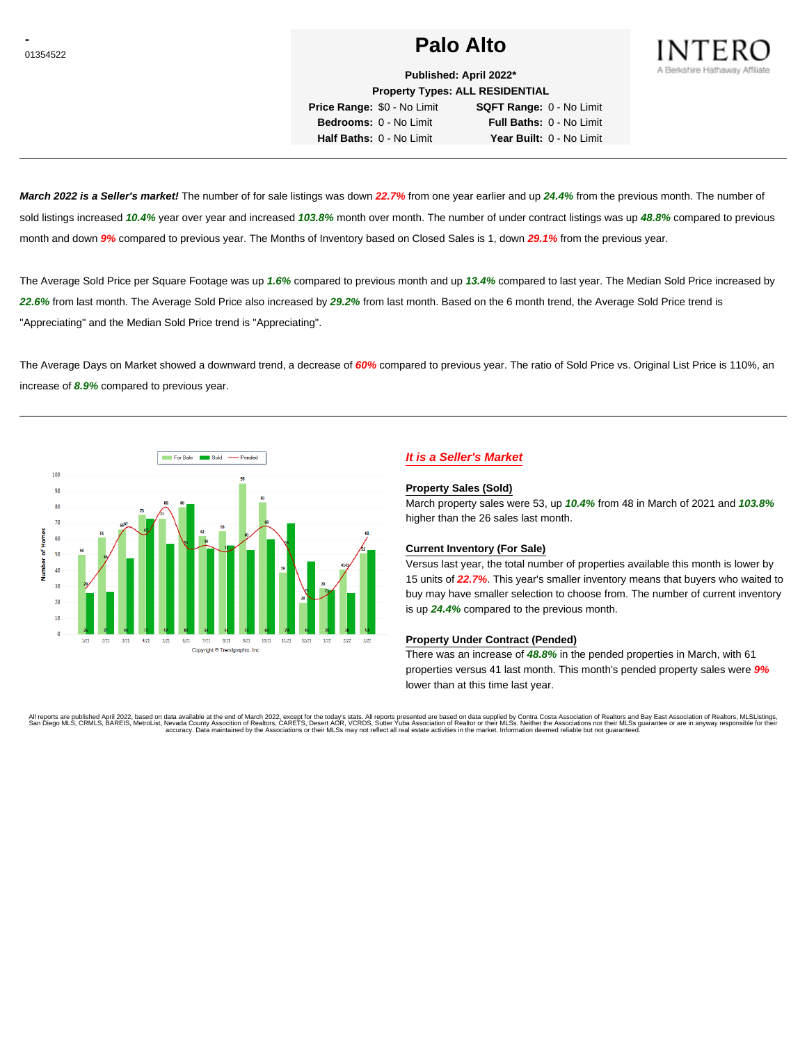# **Palo Alto Palo Alto**



**Published: April 2022\* Property Types: ALL RESIDENTIAL**

**Price Range:** \$0 - No Limit **SQFT Range:** 0 - No Limit **Bedrooms:** 0 - No Limit **Full Baths:** 0 - No Limit **Half Baths:** 0 - No Limit **Year Built:** 0 - No Limit

**March 2022 is a Seller's market!** The number of for sale listings was down **22.7%** from one year earlier and up **24.4%** from the previous month. The number of sold listings increased **10.4%** year over year and increased **103.8%** month over month. The number of under contract listings was up **48.8%** compared to previous month and down **9%** compared to previous year. The Months of Inventory based on Closed Sales is 1, down **29.1%** from the previous year.

The Average Sold Price per Square Footage was up **1.6%** compared to previous month and up **13.4%** compared to last year. The Median Sold Price increased by **22.6%** from last month. The Average Sold Price also increased by **29.2%** from last month. Based on the 6 month trend, the Average Sold Price trend is "Appreciating" and the Median Sold Price trend is "Appreciating".

The Average Days on Market showed a downward trend, a decrease of **60%** compared to previous year. The ratio of Sold Price vs. Original List Price is 110%, an increase of **8.9%** compared to previous year.



# **It is a Seller's Market**

#### **Property Sales (Sold)**

March property sales were 53, up **10.4%** from 48 in March of 2021 and **103.8%** higher than the 26 sales last month.

### **Current Inventory (For Sale)**

Versus last year, the total number of properties available this month is lower by 15 units of **22.7%**. This year's smaller inventory means that buyers who waited to buy may have smaller selection to choose from. The number of current inventory is up **24.4%** compared to the previous month.

#### **Property Under Contract (Pended)**

There was an increase of **48.8%** in the pended properties in March, with 61 properties versus 41 last month. This month's pended property sales were **9%** lower than at this time last year.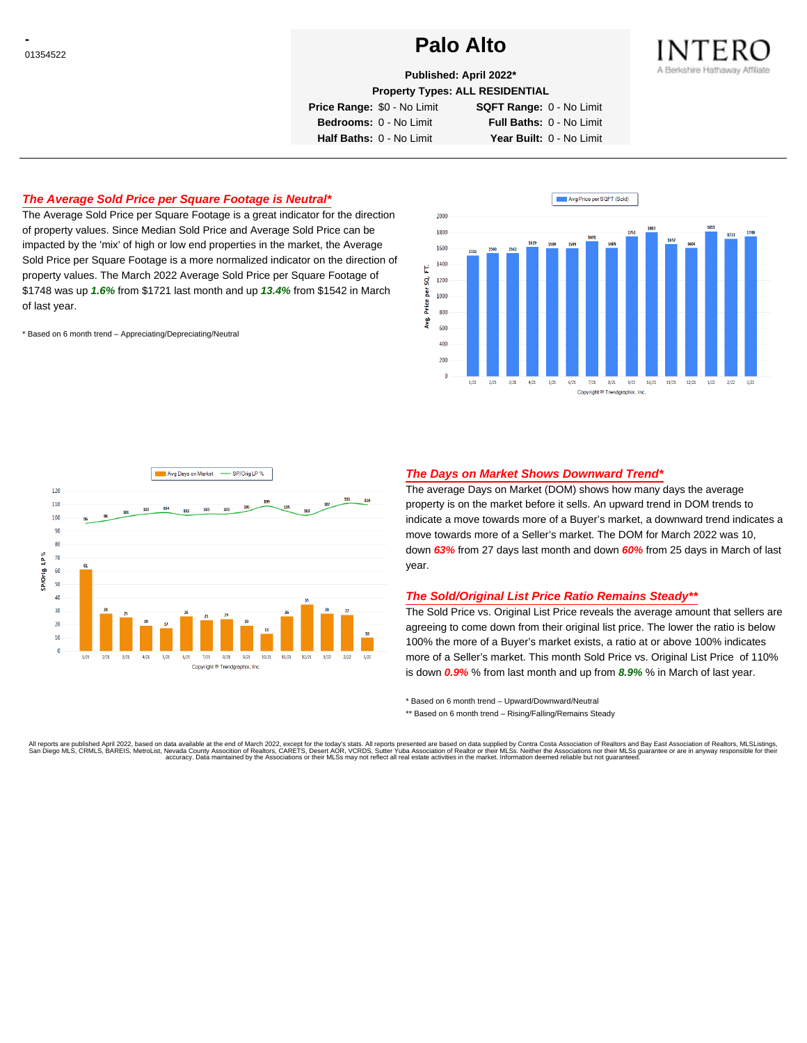# **Palo Alto Palo Alto**



**Published: April 2022\***

**Property Types: ALL RESIDENTIAL**

**Price Range:** \$0 - No Limit **SQFT Range:** 0 - No Limit

**Bedrooms:** 0 - No Limit **Full Baths:** 0 - No Limit **Half Baths:** 0 - No Limit **Year Built:** 0 - No Limit

## **The Average Sold Price per Square Footage is Neutral\***

The Average Sold Price per Square Footage is a great indicator for the direction of property values. Since Median Sold Price and Average Sold Price can be impacted by the 'mix' of high or low end properties in the market, the Average Sold Price per Square Footage is a more normalized indicator on the direction of property values. The March 2022 Average Sold Price per Square Footage of \$1748 was up **1.6%** from \$1721 last month and up **13.4%** from \$1542 in March of last year.

\* Based on 6 month trend – Appreciating/Depreciating/Neutral





### **The Days on Market Shows Downward Trend\***

The average Days on Market (DOM) shows how many days the average property is on the market before it sells. An upward trend in DOM trends to indicate a move towards more of a Buyer's market, a downward trend indicates a move towards more of a Seller's market. The DOM for March 2022 was 10, down **63%** from 27 days last month and down **60%** from 25 days in March of last year.

#### **The Sold/Original List Price Ratio Remains Steady\*\***

The Sold Price vs. Original List Price reveals the average amount that sellers are agreeing to come down from their original list price. The lower the ratio is below 100% the more of a Buyer's market exists, a ratio at or above 100% indicates more of a Seller's market. This month Sold Price vs. Original List Price of 110% is down **0.9%** % from last month and up from **8.9%** % in March of last year.

\* Based on 6 month trend – Upward/Downward/Neutral

\*\* Based on 6 month trend - Rising/Falling/Remains Steady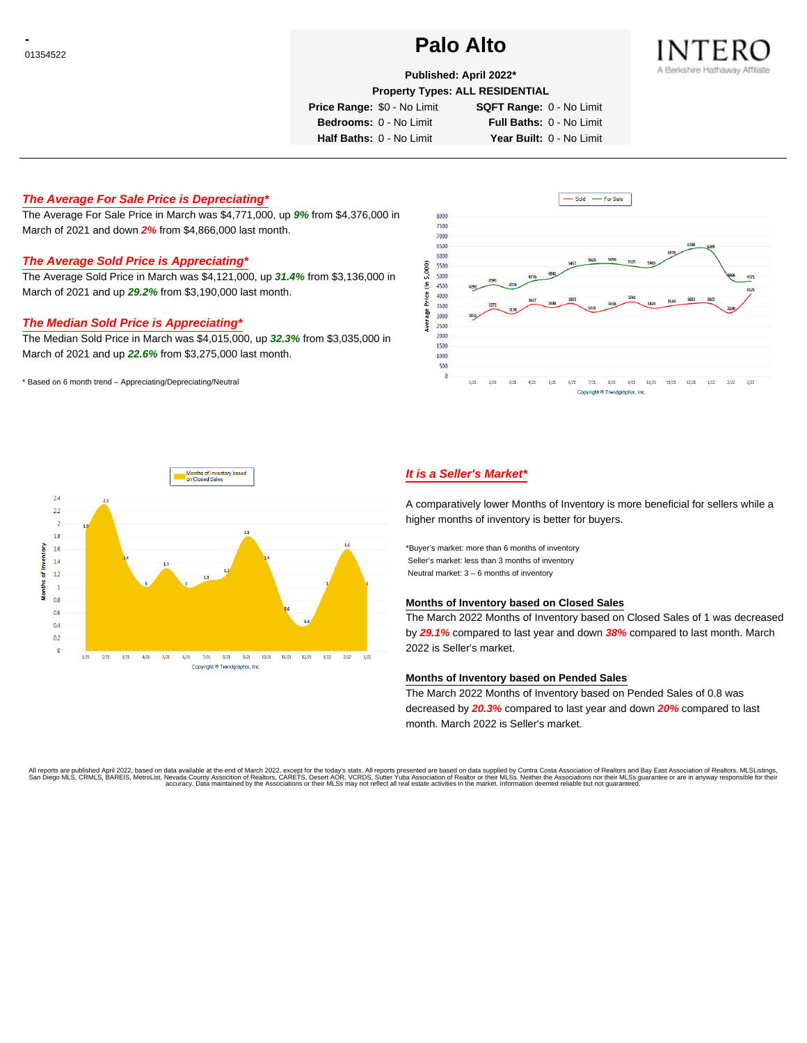# **Palo Alto Palo Alto**



## **Published: April 2022\***

**Property Types: ALL RESIDENTIAL**

**Price Range:** \$0 - No Limit **SQFT Range:** 0 - No Limit

**Bedrooms:** 0 - No Limit **Full Baths:** 0 - No Limit **Half Baths:** 0 - No Limit **Year Built:** 0 - No Limit

### **The Average For Sale Price is Depreciating\***

The Average For Sale Price in March was \$4,771,000, up **9%** from \$4,376,000 in March of 2021 and down **2%** from \$4,866,000 last month.

# **The Average Sold Price is Appreciating\***

The Average Sold Price in March was \$4,121,000, up **31.4%** from \$3,136,000 in March of 2021 and up **29.2%** from \$3,190,000 last month.

#### **The Median Sold Price is Appreciating\***

The Median Sold Price in March was \$4,015,000, up **32.3%** from \$3,035,000 in March of 2021 and up **22.6%** from \$3,275,000 last month.

\* Based on 6 month trend – Appreciating/Depreciating/Neutral





# **It is a Seller's Market\***

A comparatively lower Months of Inventory is more beneficial for sellers while a higher months of inventory is better for buyers.

\*Buyer's market: more than 6 months of inventory Seller's market: less than 3 months of inventory Neutral market: 3 – 6 months of inventory

#### **Months of Inventory based on Closed Sales**

The March 2022 Months of Inventory based on Closed Sales of 1 was decreased by **29.1%** compared to last year and down **38%** compared to last month. March 2022 is Seller's market.

#### **Months of Inventory based on Pended Sales**

The March 2022 Months of Inventory based on Pended Sales of 0.8 was decreased by **20.3%** compared to last year and down **20%** compared to last month. March 2022 is Seller's market.